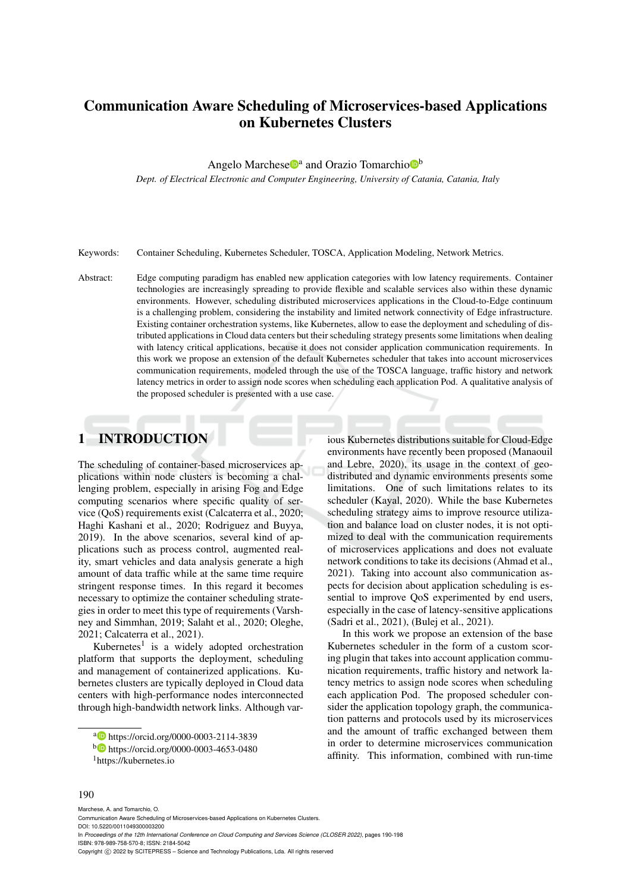# Communication Aware Scheduling of Microservices-based Applications on Kubernetes Clusters

Angelo Marchese<sup>n</sup>a and Orazio Tomarchio<sup>n</sup>

*Dept. of Electrical Electronic and Computer Engineering, University of Catania, Catania, Italy*

Keywords: Container Scheduling, Kubernetes Scheduler, TOSCA, Application Modeling, Network Metrics.

Abstract: Edge computing paradigm has enabled new application categories with low latency requirements. Container technologies are increasingly spreading to provide flexible and scalable services also within these dynamic environments. However, scheduling distributed microservices applications in the Cloud-to-Edge continuum is a challenging problem, considering the instability and limited network connectivity of Edge infrastructure. Existing container orchestration systems, like Kubernetes, allow to ease the deployment and scheduling of distributed applications in Cloud data centers but their scheduling strategy presents some limitations when dealing with latency critical applications, because it does not consider application communication requirements. In this work we propose an extension of the default Kubernetes scheduler that takes into account microservices communication requirements, modeled through the use of the TOSCA language, traffic history and network latency metrics in order to assign node scores when scheduling each application Pod. A qualitative analysis of the proposed scheduler is presented with a use case.

## 1 INTRODUCTION

The scheduling of container-based microservices applications within node clusters is becoming a challenging problem, especially in arising Fog and Edge computing scenarios where specific quality of service (QoS) requirements exist (Calcaterra et al., 2020; Haghi Kashani et al., 2020; Rodriguez and Buyya, 2019). In the above scenarios, several kind of applications such as process control, augmented reality, smart vehicles and data analysis generate a high amount of data traffic while at the same time require stringent response times. In this regard it becomes necessary to optimize the container scheduling strategies in order to meet this type of requirements (Varshney and Simmhan, 2019; Salaht et al., 2020; Oleghe, 2021; Calcaterra et al., 2021).

Kubernetes<sup>1</sup> is a widely adopted orchestration platform that supports the deployment, scheduling and management of containerized applications. Kubernetes clusters are typically deployed in Cloud data centers with high-performance nodes interconnected through high-bandwidth network links. Although various Kubernetes distributions suitable for Cloud-Edge environments have recently been proposed (Manaouil and Lebre, 2020), its usage in the context of geodistributed and dynamic environments presents some limitations. One of such limitations relates to its scheduler (Kayal, 2020). While the base Kubernetes scheduling strategy aims to improve resource utilization and balance load on cluster nodes, it is not optimized to deal with the communication requirements of microservices applications and does not evaluate network conditions to take its decisions (Ahmad et al., 2021). Taking into account also communication aspects for decision about application scheduling is essential to improve QoS experimented by end users, especially in the case of latency-sensitive applications (Sadri et al., 2021), (Bulej et al., 2021).

In this work we propose an extension of the base Kubernetes scheduler in the form of a custom scoring plugin that takes into account application communication requirements, traffic history and network latency metrics to assign node scores when scheduling each application Pod. The proposed scheduler consider the application topology graph, the communication patterns and protocols used by its microservices and the amount of traffic exchanged between them in order to determine microservices communication affinity. This information, combined with run-time

#### 190

Marchese, A. and Tomarchio, O.

a https://orcid.org/0000-0003-2114-3839

<sup>b</sup> https://orcid.org/0000-0003-4653-0480

<sup>1</sup>https://kubernetes.io

Communication Aware Scheduling of Microservices-based Applications on Kubernetes Clusters. DOI: 10.5220/0011049300003200 In *Proceedings of the 12th International Conference on Cloud Computing and Services Science (CLOSER 2022)*, pages 190-198 ISBN: 978-989-758-570-8; ISSN: 2184-5042 Copyright (C) 2022 by SCITEPRESS - Science and Technology Publications, Lda. All rights reserved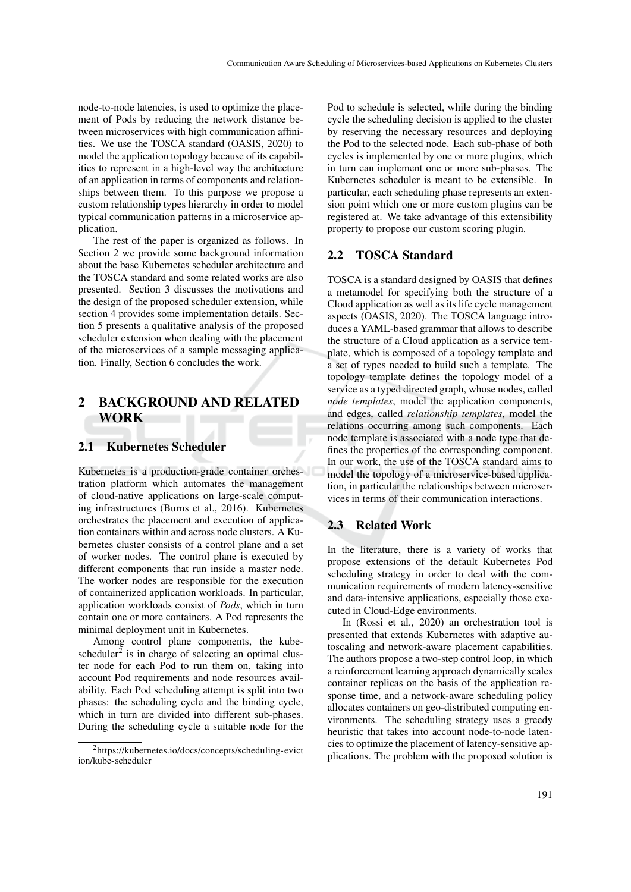node-to-node latencies, is used to optimize the placement of Pods by reducing the network distance between microservices with high communication affinities. We use the TOSCA standard (OASIS, 2020) to model the application topology because of its capabilities to represent in a high-level way the architecture of an application in terms of components and relationships between them. To this purpose we propose a custom relationship types hierarchy in order to model typical communication patterns in a microservice application.

The rest of the paper is organized as follows. In Section 2 we provide some background information about the base Kubernetes scheduler architecture and the TOSCA standard and some related works are also presented. Section 3 discusses the motivations and the design of the proposed scheduler extension, while section 4 provides some implementation details. Section 5 presents a qualitative analysis of the proposed scheduler extension when dealing with the placement of the microservices of a sample messaging application. Finally, Section 6 concludes the work.

## 2 BACKGROUND AND RELATED WORK

#### 2.1 Kubernetes Scheduler

Kubernetes is a production-grade container orchestration platform which automates the management of cloud-native applications on large-scale computing infrastructures (Burns et al., 2016). Kubernetes orchestrates the placement and execution of application containers within and across node clusters. A Kubernetes cluster consists of a control plane and a set of worker nodes. The control plane is executed by different components that run inside a master node. The worker nodes are responsible for the execution of containerized application workloads. In particular, application workloads consist of *Pods*, which in turn contain one or more containers. A Pod represents the minimal deployment unit in Kubernetes.

Among control plane components, the kubescheduler<sup>2</sup> is in charge of selecting an optimal cluster node for each Pod to run them on, taking into account Pod requirements and node resources availability. Each Pod scheduling attempt is split into two phases: the scheduling cycle and the binding cycle, which in turn are divided into different sub-phases. During the scheduling cycle a suitable node for the Pod to schedule is selected, while during the binding cycle the scheduling decision is applied to the cluster by reserving the necessary resources and deploying the Pod to the selected node. Each sub-phase of both cycles is implemented by one or more plugins, which in turn can implement one or more sub-phases. The Kubernetes scheduler is meant to be extensible. In particular, each scheduling phase represents an extension point which one or more custom plugins can be registered at. We take advantage of this extensibility property to propose our custom scoring plugin.

#### 2.2 TOSCA Standard

TOSCA is a standard designed by OASIS that defines a metamodel for specifying both the structure of a Cloud application as well as its life cycle management aspects (OASIS, 2020). The TOSCA language introduces a YAML-based grammar that allows to describe the structure of a Cloud application as a service template, which is composed of a topology template and a set of types needed to build such a template. The topology template defines the topology model of a service as a typed directed graph, whose nodes, called *node templates*, model the application components, and edges, called *relationship templates*, model the relations occurring among such components. Each node template is associated with a node type that defines the properties of the corresponding component. In our work, the use of the TOSCA standard aims to model the topology of a microservice-based application, in particular the relationships between microservices in terms of their communication interactions.

#### 2.3 Related Work

In the literature, there is a variety of works that propose extensions of the default Kubernetes Pod scheduling strategy in order to deal with the communication requirements of modern latency-sensitive and data-intensive applications, especially those executed in Cloud-Edge environments.

In (Rossi et al., 2020) an orchestration tool is presented that extends Kubernetes with adaptive autoscaling and network-aware placement capabilities. The authors propose a two-step control loop, in which a reinforcement learning approach dynamically scales container replicas on the basis of the application response time, and a network-aware scheduling policy allocates containers on geo-distributed computing environments. The scheduling strategy uses a greedy heuristic that takes into account node-to-node latencies to optimize the placement of latency-sensitive applications. The problem with the proposed solution is

<sup>2</sup>https://kubernetes.io/docs/concepts/scheduling-evict ion/kube-scheduler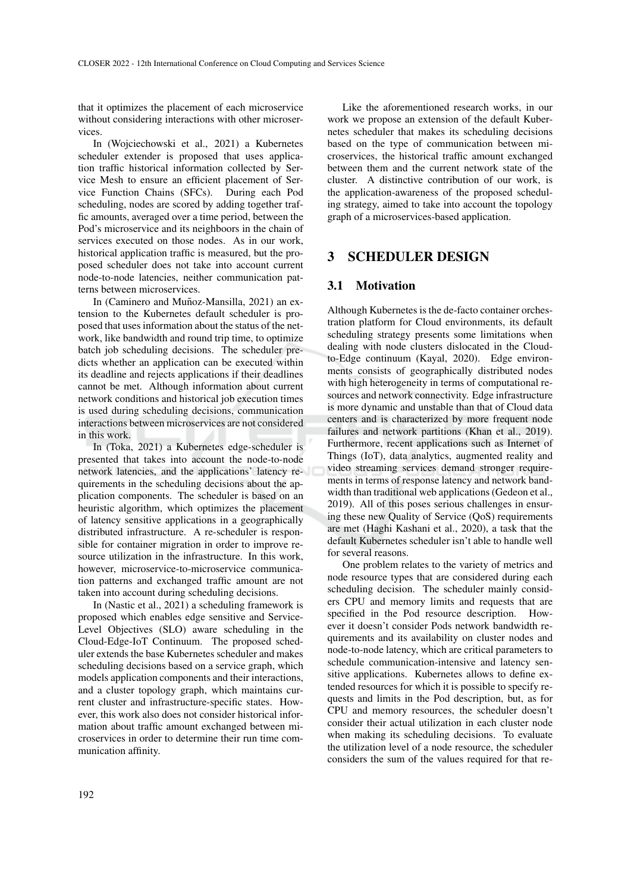that it optimizes the placement of each microservice without considering interactions with other microservices.

In (Wojciechowski et al., 2021) a Kubernetes scheduler extender is proposed that uses application traffic historical information collected by Service Mesh to ensure an efficient placement of Service Function Chains (SFCs). During each Pod scheduling, nodes are scored by adding together traffic amounts, averaged over a time period, between the Pod's microservice and its neighboors in the chain of services executed on those nodes. As in our work, historical application traffic is measured, but the proposed scheduler does not take into account current node-to-node latencies, neither communication patterns between microservices.

In (Caminero and Muñoz-Mansilla, 2021) an extension to the Kubernetes default scheduler is proposed that uses information about the status of the network, like bandwidth and round trip time, to optimize batch job scheduling decisions. The scheduler predicts whether an application can be executed within its deadline and rejects applications if their deadlines cannot be met. Although information about current network conditions and historical job execution times is used during scheduling decisions, communication interactions between microservices are not considered in this work.

In (Toka, 2021) a Kubernetes edge-scheduler is presented that takes into account the node-to-node network latencies, and the applications' latency requirements in the scheduling decisions about the application components. The scheduler is based on an heuristic algorithm, which optimizes the placement of latency sensitive applications in a geographically distributed infrastructure. A re-scheduler is responsible for container migration in order to improve resource utilization in the infrastructure. In this work, however, microservice-to-microservice communication patterns and exchanged traffic amount are not taken into account during scheduling decisions.

In (Nastic et al., 2021) a scheduling framework is proposed which enables edge sensitive and Service-Level Objectives (SLO) aware scheduling in the Cloud-Edge-IoT Continuum. The proposed scheduler extends the base Kubernetes scheduler and makes scheduling decisions based on a service graph, which models application components and their interactions, and a cluster topology graph, which maintains current cluster and infrastructure-specific states. However, this work also does not consider historical information about traffic amount exchanged between microservices in order to determine their run time communication affinity.

Like the aforementioned research works, in our work we propose an extension of the default Kubernetes scheduler that makes its scheduling decisions based on the type of communication between microservices, the historical traffic amount exchanged between them and the current network state of the cluster. A distinctive contribution of our work, is the application-awareness of the proposed scheduling strategy, aimed to take into account the topology graph of a microservices-based application.

#### 3 SCHEDULER DESIGN

#### 3.1 Motivation

Although Kubernetes is the de-facto container orchestration platform for Cloud environments, its default scheduling strategy presents some limitations when dealing with node clusters dislocated in the Cloudto-Edge continuum (Kayal, 2020). Edge environments consists of geographically distributed nodes with high heterogeneity in terms of computational resources and network connectivity. Edge infrastructure is more dynamic and unstable than that of Cloud data centers and is characterized by more frequent node failures and network partitions (Khan et al., 2019). Furthermore, recent applications such as Internet of Things (IoT), data analytics, augmented reality and video streaming services demand stronger requirements in terms of response latency and network bandwidth than traditional web applications (Gedeon et al., 2019). All of this poses serious challenges in ensuring these new Quality of Service (QoS) requirements are met (Haghi Kashani et al., 2020), a task that the default Kubernetes scheduler isn't able to handle well for several reasons.

One problem relates to the variety of metrics and node resource types that are considered during each scheduling decision. The scheduler mainly considers CPU and memory limits and requests that are specified in the Pod resource description. However it doesn't consider Pods network bandwidth requirements and its availability on cluster nodes and node-to-node latency, which are critical parameters to schedule communication-intensive and latency sensitive applications. Kubernetes allows to define extended resources for which it is possible to specify requests and limits in the Pod description, but, as for CPU and memory resources, the scheduler doesn't consider their actual utilization in each cluster node when making its scheduling decisions. To evaluate the utilization level of a node resource, the scheduler considers the sum of the values required for that re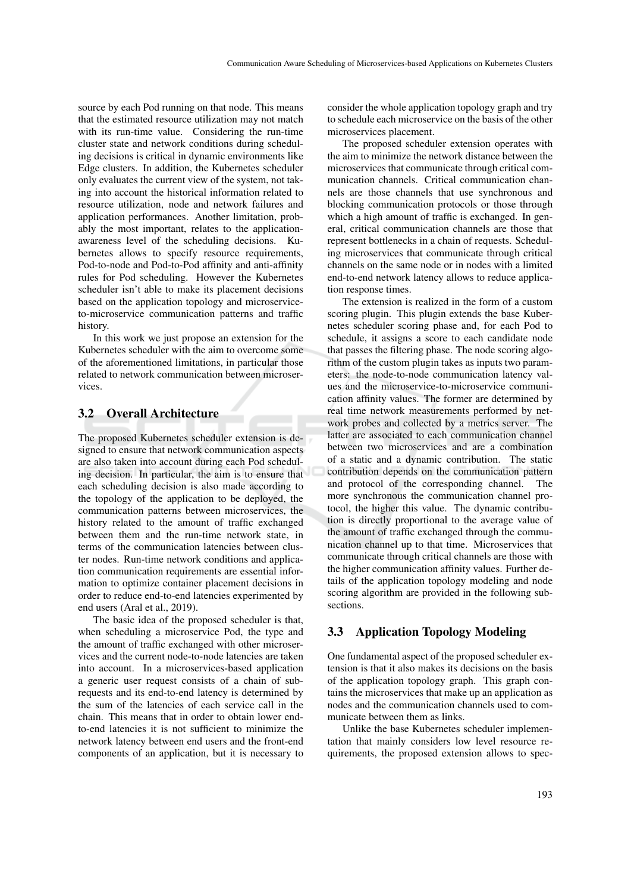source by each Pod running on that node. This means that the estimated resource utilization may not match with its run-time value. Considering the run-time cluster state and network conditions during scheduling decisions is critical in dynamic environments like Edge clusters. In addition, the Kubernetes scheduler only evaluates the current view of the system, not taking into account the historical information related to resource utilization, node and network failures and application performances. Another limitation, probably the most important, relates to the applicationawareness level of the scheduling decisions. Kubernetes allows to specify resource requirements, Pod-to-node and Pod-to-Pod affinity and anti-affinity rules for Pod scheduling. However the Kubernetes scheduler isn't able to make its placement decisions based on the application topology and microserviceto-microservice communication patterns and traffic history.

In this work we just propose an extension for the Kubernetes scheduler with the aim to overcome some of the aforementioned limitations, in particular those related to network communication between microservices.

#### 3.2 Overall Architecture

The proposed Kubernetes scheduler extension is designed to ensure that network communication aspects are also taken into account during each Pod scheduling decision. In particular, the aim is to ensure that each scheduling decision is also made according to the topology of the application to be deployed, the communication patterns between microservices, the history related to the amount of traffic exchanged between them and the run-time network state, in terms of the communication latencies between cluster nodes. Run-time network conditions and application communication requirements are essential information to optimize container placement decisions in order to reduce end-to-end latencies experimented by end users (Aral et al., 2019).

The basic idea of the proposed scheduler is that, when scheduling a microservice Pod, the type and the amount of traffic exchanged with other microservices and the current node-to-node latencies are taken into account. In a microservices-based application a generic user request consists of a chain of subrequests and its end-to-end latency is determined by the sum of the latencies of each service call in the chain. This means that in order to obtain lower endto-end latencies it is not sufficient to minimize the network latency between end users and the front-end components of an application, but it is necessary to

consider the whole application topology graph and try to schedule each microservice on the basis of the other microservices placement.

The proposed scheduler extension operates with the aim to minimize the network distance between the microservices that communicate through critical communication channels. Critical communication channels are those channels that use synchronous and blocking communication protocols or those through which a high amount of traffic is exchanged. In general, critical communication channels are those that represent bottlenecks in a chain of requests. Scheduling microservices that communicate through critical channels on the same node or in nodes with a limited end-to-end network latency allows to reduce application response times.

The extension is realized in the form of a custom scoring plugin. This plugin extends the base Kubernetes scheduler scoring phase and, for each Pod to schedule, it assigns a score to each candidate node that passes the filtering phase. The node scoring algorithm of the custom plugin takes as inputs two parameters: the node-to-node communication latency values and the microservice-to-microservice communication affinity values. The former are determined by real time network measurements performed by network probes and collected by a metrics server. The latter are associated to each communication channel between two microservices and are a combination of a static and a dynamic contribution. The static contribution depends on the communication pattern and protocol of the corresponding channel. The more synchronous the communication channel protocol, the higher this value. The dynamic contribution is directly proportional to the average value of the amount of traffic exchanged through the communication channel up to that time. Microservices that communicate through critical channels are those with the higher communication affinity values. Further details of the application topology modeling and node scoring algorithm are provided in the following subsections.

#### 3.3 Application Topology Modeling

One fundamental aspect of the proposed scheduler extension is that it also makes its decisions on the basis of the application topology graph. This graph contains the microservices that make up an application as nodes and the communication channels used to communicate between them as links.

Unlike the base Kubernetes scheduler implementation that mainly considers low level resource requirements, the proposed extension allows to spec-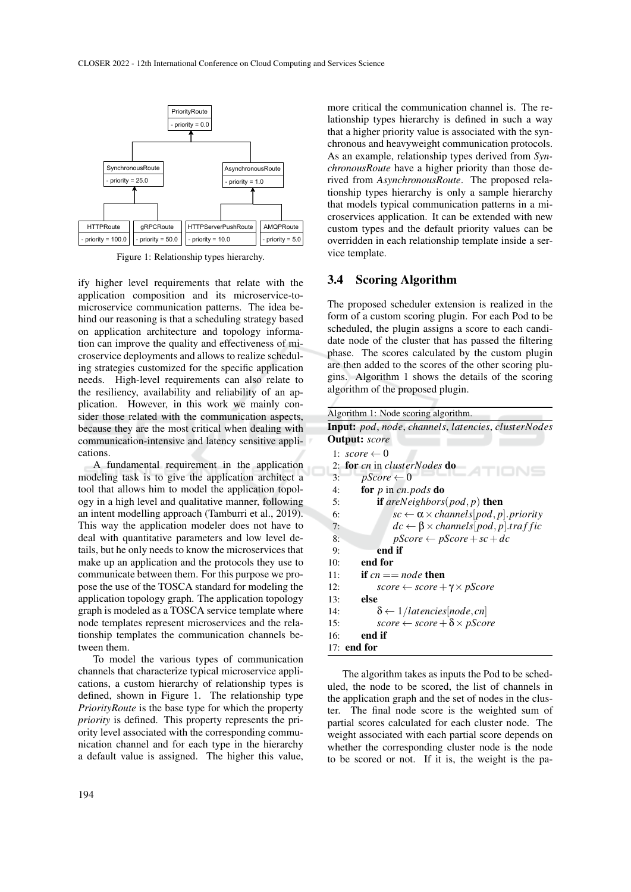

Figure 1: Relationship types hierarchy.

ify higher level requirements that relate with the application composition and its microservice-tomicroservice communication patterns. The idea behind our reasoning is that a scheduling strategy based on application architecture and topology information can improve the quality and effectiveness of microservice deployments and allows to realize scheduling strategies customized for the specific application needs. High-level requirements can also relate to the resiliency, availability and reliability of an application. However, in this work we mainly consider those related with the communication aspects, because they are the most critical when dealing with communication-intensive and latency sensitive applications.

A fundamental requirement in the application modeling task is to give the application architect a tool that allows him to model the application topology in a high level and qualitative manner, following an intent modelling approach (Tamburri et al., 2019). This way the application modeler does not have to deal with quantitative parameters and low level details, but he only needs to know the microservices that make up an application and the protocols they use to communicate between them. For this purpose we propose the use of the TOSCA standard for modeling the application topology graph. The application topology graph is modeled as a TOSCA service template where node templates represent microservices and the relationship templates the communication channels between them.

To model the various types of communication channels that characterize typical microservice applications, a custom hierarchy of relationship types is defined, shown in Figure 1. The relationship type *PriorityRoute* is the base type for which the property *priority* is defined. This property represents the priority level associated with the corresponding communication channel and for each type in the hierarchy a default value is assigned. The higher this value,

more critical the communication channel is. The relationship types hierarchy is defined in such a way that a higher priority value is associated with the synchronous and heavyweight communication protocols. As an example, relationship types derived from *SynchronousRoute* have a higher priority than those derived from *AsynchronousRoute*. The proposed relationship types hierarchy is only a sample hierarchy that models typical communication patterns in a microservices application. It can be extended with new custom types and the default priority values can be overridden in each relationship template inside a service template.

#### 3.4 Scoring Algorithm

The proposed scheduler extension is realized in the form of a custom scoring plugin. For each Pod to be scheduled, the plugin assigns a score to each candidate node of the cluster that has passed the filtering phase. The scores calculated by the custom plugin are then added to the scores of the other scoring plugins. Algorithm 1 shows the details of the scoring algorithm of the proposed plugin.

| Algorithm 1: Node scoring algorithm.                           |
|----------------------------------------------------------------|
| <b>Input:</b> pod, node, channels, latencies, clusterNodes     |
| <b>Output:</b> score                                           |
| 1: $score \leftarrow 0$                                        |
| <b>for</b> cn in clusterNodes <b>do</b><br>2:                  |
| $pScore \leftarrow 0$<br>3:                                    |
| for $p$ in cn. pods do<br>4:                                   |
| <b>if</b> areNeighbors(pod, p) <b>then</b><br>5:               |
| $sc \leftarrow \alpha \times channels[pod, p]. priority$<br>6: |
| $dc \leftarrow \beta \times channels[pod, p].traffic$<br>7:    |
| $pScore \leftarrow pScore + sc + dc$<br>8:                     |
| end if<br>9:                                                   |
| end for<br>10:                                                 |
| if $cn == node$ then<br>11:                                    |
| 12:<br>$score \leftarrow score + \gamma \times pScore$         |
| else<br>13:                                                    |
| $\delta \leftarrow 1/latencies[node, cn]$<br>14:               |
| score $\leftarrow$ score $+\delta \times pScore$<br>15:        |
| end if<br>16:                                                  |
| 17: <b>end for</b>                                             |

The algorithm takes as inputs the Pod to be scheduled, the node to be scored, the list of channels in the application graph and the set of nodes in the cluster. The final node score is the weighted sum of partial scores calculated for each cluster node. The weight associated with each partial score depends on whether the corresponding cluster node is the node to be scored or not. If it is, the weight is the pa-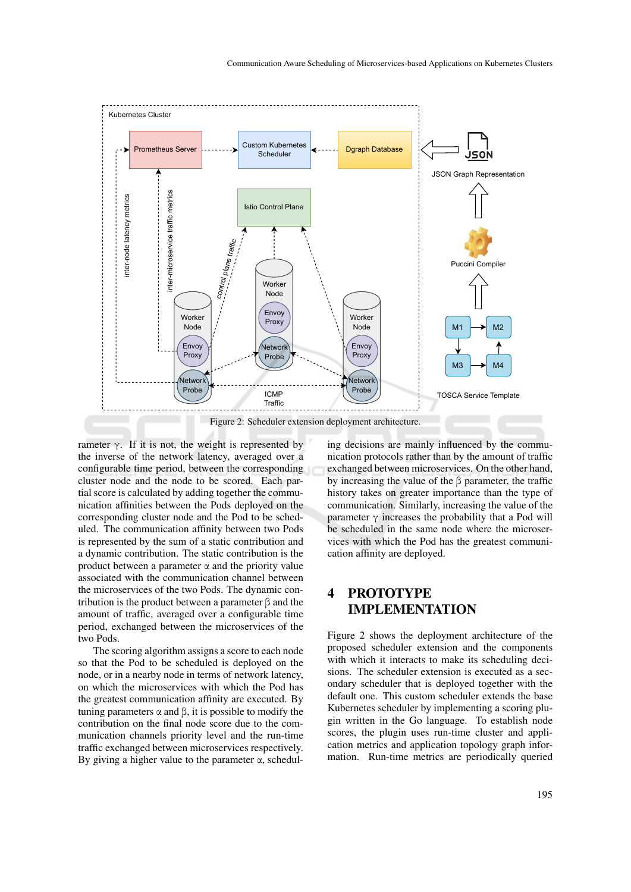

rameter  $\gamma$ . If it is not, the weight is represented by the inverse of the network latency, averaged over a configurable time period, between the corresponding cluster node and the node to be scored. Each partial score is calculated by adding together the communication affinities between the Pods deployed on the corresponding cluster node and the Pod to be scheduled. The communication affinity between two Pods is represented by the sum of a static contribution and a dynamic contribution. The static contribution is the product between a parameter  $\alpha$  and the priority value associated with the communication channel between the microservices of the two Pods. The dynamic contribution is the product between a parameter β and the amount of traffic, averaged over a configurable time period, exchanged between the microservices of the two Pods.

The scoring algorithm assigns a score to each node so that the Pod to be scheduled is deployed on the node, or in a nearby node in terms of network latency, on which the microservices with which the Pod has the greatest communication affinity are executed. By tuning parameters  $\alpha$  and  $\beta$ , it is possible to modify the contribution on the final node score due to the communication channels priority level and the run-time traffic exchanged between microservices respectively. By giving a higher value to the parameter  $\alpha$ , scheduling decisions are mainly influenced by the communication protocols rather than by the amount of traffic exchanged between microservices. On the other hand, by increasing the value of the β parameter, the traffic history takes on greater importance than the type of communication. Similarly, increasing the value of the parameter  $\gamma$  increases the probability that a Pod will be scheduled in the same node where the microservices with which the Pod has the greatest communication affinity are deployed.

## 4 PROTOTYPE IMPLEMENTATION

Figure 2 shows the deployment architecture of the proposed scheduler extension and the components with which it interacts to make its scheduling decisions. The scheduler extension is executed as a secondary scheduler that is deployed together with the default one. This custom scheduler extends the base Kubernetes scheduler by implementing a scoring plugin written in the Go language. To establish node scores, the plugin uses run-time cluster and application metrics and application topology graph information. Run-time metrics are periodically queried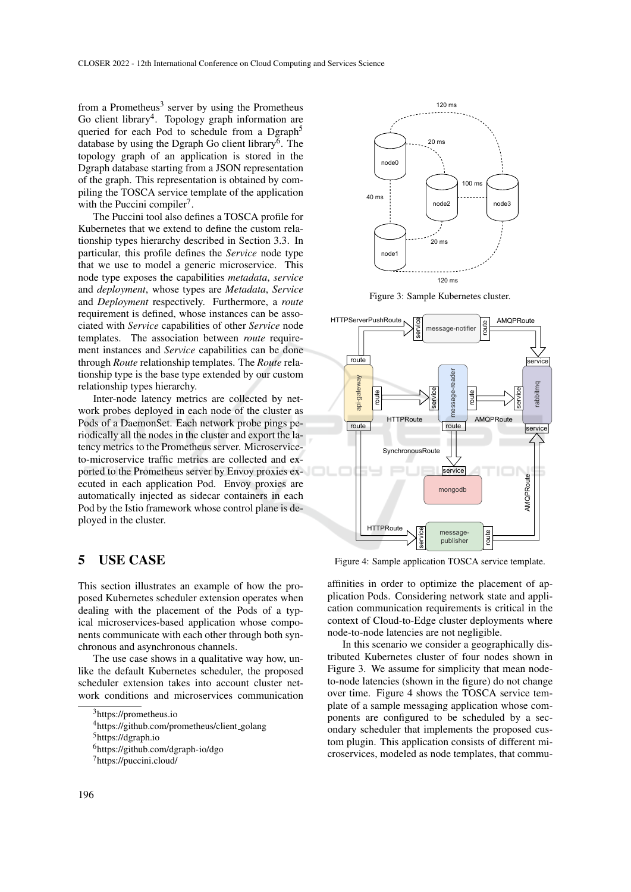from a Prometheus<sup>3</sup> server by using the Prometheus Go client library<sup>4</sup>. Topology graph information are queried for each Pod to schedule from a Dgraph<sup>5</sup> database by using the Dgraph Go client library<sup>6</sup>. The topology graph of an application is stored in the Dgraph database starting from a JSON representation of the graph. This representation is obtained by compiling the TOSCA service template of the application with the Puccini compiler<sup>7</sup>.

The Puccini tool also defines a TOSCA profile for Kubernetes that we extend to define the custom relationship types hierarchy described in Section 3.3. In particular, this profile defines the *Service* node type that we use to model a generic microservice. This node type exposes the capabilities *metadata*, *service* and *deployment*, whose types are *Metadata*, *Service* and *Deployment* respectively. Furthermore, a *route* requirement is defined, whose instances can be associated with *Service* capabilities of other *Service* node templates. The association between *route* requirement instances and *Service* capabilities can be done through *Route* relationship templates. The *Route* relationship type is the base type extended by our custom relationship types hierarchy.

Inter-node latency metrics are collected by network probes deployed in each node of the cluster as Pods of a DaemonSet. Each network probe pings periodically all the nodes in the cluster and export the latency metrics to the Prometheus server. Microserviceto-microservice traffic metrics are collected and exported to the Prometheus server by Envoy proxies executed in each application Pod. Envoy proxies are automatically injected as sidecar containers in each Pod by the Istio framework whose control plane is deployed in the cluster.

#### 5 USE CASE

This section illustrates an example of how the proposed Kubernetes scheduler extension operates when dealing with the placement of the Pods of a typical microservices-based application whose components communicate with each other through both synchronous and asynchronous channels.

The use case shows in a qualitative way how, unlike the default Kubernetes scheduler, the proposed scheduler extension takes into account cluster network conditions and microservices communication

<sup>4</sup>https://github.com/prometheus/client golang



Figure 3: Sample Kubernetes cluster.



Figure 4: Sample application TOSCA service template.

affinities in order to optimize the placement of application Pods. Considering network state and application communication requirements is critical in the context of Cloud-to-Edge cluster deployments where node-to-node latencies are not negligible.

In this scenario we consider a geographically distributed Kubernetes cluster of four nodes shown in Figure 3. We assume for simplicity that mean nodeto-node latencies (shown in the figure) do not change over time. Figure 4 shows the TOSCA service template of a sample messaging application whose components are configured to be scheduled by a secondary scheduler that implements the proposed custom plugin. This application consists of different microservices, modeled as node templates, that commu-

<sup>3</sup>https://prometheus.io

<sup>5</sup>https://dgraph.io

<sup>6</sup>https://github.com/dgraph-io/dgo

<sup>7</sup>https://puccini.cloud/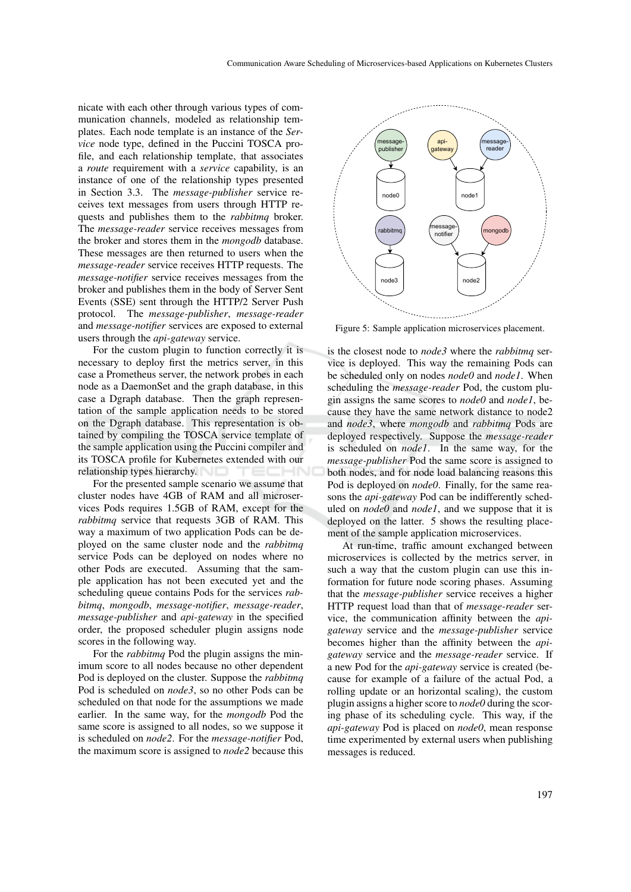nicate with each other through various types of communication channels, modeled as relationship templates. Each node template is an instance of the *Service* node type, defined in the Puccini TOSCA profile, and each relationship template, that associates a *route* requirement with a *service* capability, is an instance of one of the relationship types presented in Section 3.3. The *message-publisher* service receives text messages from users through HTTP requests and publishes them to the *rabbitmq* broker. The *message-reader* service receives messages from the broker and stores them in the *mongodb* database. These messages are then returned to users when the *message-reader* service receives HTTP requests. The *message-notifier* service receives messages from the broker and publishes them in the body of Server Sent Events (SSE) sent through the HTTP/2 Server Push protocol. The *message-publisher*, *message-reader* and *message-notifier* services are exposed to external users through the *api-gateway* service.

For the custom plugin to function correctly it is necessary to deploy first the metrics server, in this case a Prometheus server, the network probes in each node as a DaemonSet and the graph database, in this case a Dgraph database. Then the graph representation of the sample application needs to be stored on the Dgraph database. This representation is obtained by compiling the TOSCA service template of the sample application using the Puccini compiler and its TOSCA profile for Kubernetes extended with our relationship types hierarchy.

For the presented sample scenario we assume that cluster nodes have 4GB of RAM and all microservices Pods requires 1.5GB of RAM, except for the *rabbitmq* service that requests 3GB of RAM. This way a maximum of two application Pods can be deployed on the same cluster node and the *rabbitmq* service Pods can be deployed on nodes where no other Pods are executed. Assuming that the sample application has not been executed yet and the scheduling queue contains Pods for the services *rabbitmq*, *mongodb*, *message-notifier*, *message-reader*, *message-publisher* and *api-gateway* in the specified order, the proposed scheduler plugin assigns node scores in the following way.

For the *rabbitmq* Pod the plugin assigns the minimum score to all nodes because no other dependent Pod is deployed on the cluster. Suppose the *rabbitmq* Pod is scheduled on *node3*, so no other Pods can be scheduled on that node for the assumptions we made earlier. In the same way, for the *mongodb* Pod the same score is assigned to all nodes, so we suppose it is scheduled on *node2*. For the *message-notifier* Pod, the maximum score is assigned to *node2* because this



Figure 5: Sample application microservices placement.

is the closest node to *node3* where the *rabbitmq* service is deployed. This way the remaining Pods can be scheduled only on nodes *node0* and *node1*. When scheduling the *message-reader* Pod, the custom plugin assigns the same scores to *node0* and *node1*, because they have the same network distance to node2 and *node3*, where *mongodb* and *rabbitmq* Pods are deployed respectively. Suppose the *message-reader* is scheduled on *node1*. In the same way, for the *message-publisher* Pod the same score is assigned to both nodes, and for node load balancing reasons this Pod is deployed on *node0*. Finally, for the same reasons the *api-gateway* Pod can be indifferently scheduled on *node0* and *node1*, and we suppose that it is deployed on the latter. 5 shows the resulting placement of the sample application microservices.

At run-time, traffic amount exchanged between microservices is collected by the metrics server, in such a way that the custom plugin can use this information for future node scoring phases. Assuming that the *message-publisher* service receives a higher HTTP request load than that of *message-reader* service, the communication affinity between the *apigateway* service and the *message-publisher* service becomes higher than the affinity between the *apigateway* service and the *message-reader* service. If a new Pod for the *api-gateway* service is created (because for example of a failure of the actual Pod, a rolling update or an horizontal scaling), the custom plugin assigns a higher score to *node0* during the scoring phase of its scheduling cycle. This way, if the *api-gateway* Pod is placed on *node0*, mean response time experimented by external users when publishing messages is reduced.